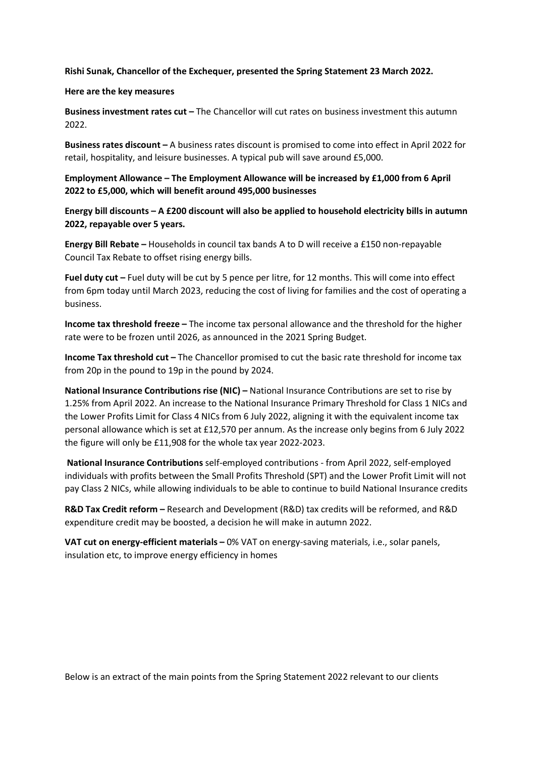**Rishi Sunak, Chancellor of the Exchequer, presented the Spring Statement 23 March 2022.** 

#### **Here are the key measures**

**Business investment rates cut –** The Chancellor will cut rates on business investment this autumn 2022.

**Business rates discount –** A business rates discount is promised to come into effect in April 2022 for retail, hospitality, and leisure businesses. A typical pub will save around £5,000.

**Employment Allowance – The Employment Allowance will be increased by £1,000 from 6 April 2022 to £5,000, which will benefit around 495,000 businesses** 

**Energy bill discounts – A £200 discount will also be applied to household electricity bills in autumn 2022, repayable over 5 years.** 

**Energy Bill Rebate –** Households in council tax bands A to D will receive a £150 non-repayable Council Tax Rebate to offset rising energy bills.

**Fuel duty cut –** Fuel duty will be cut by 5 pence per litre, for 12 months. This will come into effect from 6pm today until March 2023, reducing the cost of living for families and the cost of operating a business.

**Income tax threshold freeze –** The income tax personal allowance and the threshold for the higher rate were to be frozen until 2026, as announced in the 2021 Spring Budget.

**Income Tax threshold cut –** The Chancellor promised to cut the basic rate threshold for income tax from 20p in the pound to 19p in the pound by 2024.

**National Insurance Contributions rise (NIC) –** National Insurance Contributions are set to rise by 1.25% from April 2022. An increase to the National Insurance Primary Threshold for Class 1 NICs and the Lower Profits Limit for Class 4 NICs from 6 July 2022, aligning it with the equivalent income tax personal allowance which is set at £12,570 per annum. As the increase only begins from 6 July 2022 the figure will only be £11,908 for the whole tax year 2022-2023.

 **National Insurance Contributions** self-employed contributions - from April 2022, self-employed individuals with profits between the Small Profits Threshold (SPT) and the Lower Profit Limit will not pay Class 2 NICs, while allowing individuals to be able to continue to build National Insurance credits

**R&D Tax Credit reform –** Research and Development (R&D) tax credits will be reformed, and R&D expenditure credit may be boosted, a decision he will make in autumn 2022.

**VAT cut on energy-efficient materials –** 0% VAT on energy-saving materials, i.e., solar panels, insulation etc, to improve energy efficiency in homes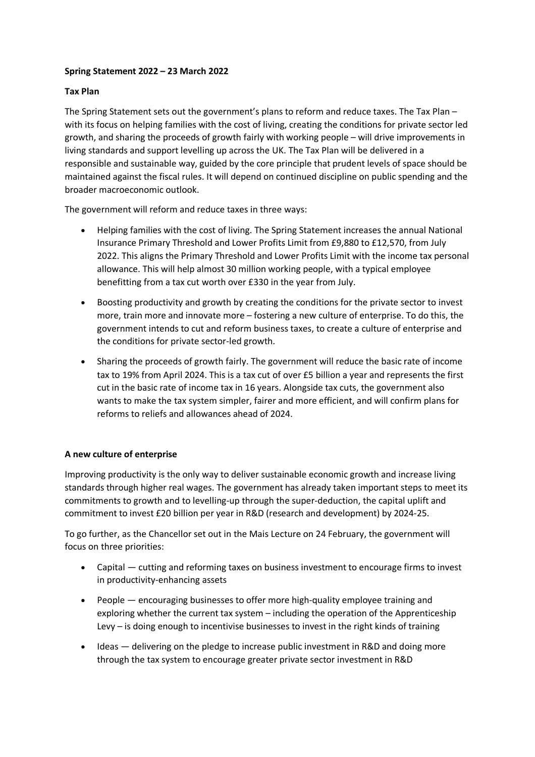# **Spring Statement 2022 – 23 March 2022**

### **Tax Plan**

The Spring Statement sets out the government's plans to reform and reduce taxes. The Tax Plan – with its focus on helping families with the cost of living, creating the conditions for private sector led growth, and sharing the proceeds of growth fairly with working people – will drive improvements in living standards and support levelling up across the UK. The Tax Plan will be delivered in a responsible and sustainable way, guided by the core principle that prudent levels of space should be maintained against the fiscal rules. It will depend on continued discipline on public spending and the broader macroeconomic outlook.

The government will reform and reduce taxes in three ways:

- Helping families with the cost of living. The Spring Statement increases the annual National Insurance Primary Threshold and Lower Profits Limit from £9,880 to £12,570, from July 2022. This aligns the Primary Threshold and Lower Profits Limit with the income tax personal allowance. This will help almost 30 million working people, with a typical employee benefitting from a tax cut worth over £330 in the year from July.
- Boosting productivity and growth by creating the conditions for the private sector to invest more, train more and innovate more – fostering a new culture of enterprise. To do this, the government intends to cut and reform business taxes, to create a culture of enterprise and the conditions for private sector-led growth.
- Sharing the proceeds of growth fairly. The government will reduce the basic rate of income tax to 19% from April 2024. This is a tax cut of over £5 billion a year and represents the first cut in the basic rate of income tax in 16 years. Alongside tax cuts, the government also wants to make the tax system simpler, fairer and more efficient, and will confirm plans for reforms to reliefs and allowances ahead of 2024.

# **A new culture of enterprise**

Improving productivity is the only way to deliver sustainable economic growth and increase living standards through higher real wages. The government has already taken important steps to meet its commitments to growth and to levelling-up through the super-deduction, the capital uplift and commitment to invest £20 billion per year in R&D (research and development) by 2024-25.

To go further, as the Chancellor set out in the Mais Lecture on 24 February, the government will focus on three priorities:

- Capital cutting and reforming taxes on business investment to encourage firms to invest in productivity-enhancing assets
- People encouraging businesses to offer more high-quality employee training and exploring whether the current tax system – including the operation of the Apprenticeship Levy – is doing enough to incentivise businesses to invest in the right kinds of training
- Ideas delivering on the pledge to increase public investment in R&D and doing more through the tax system to encourage greater private sector investment in R&D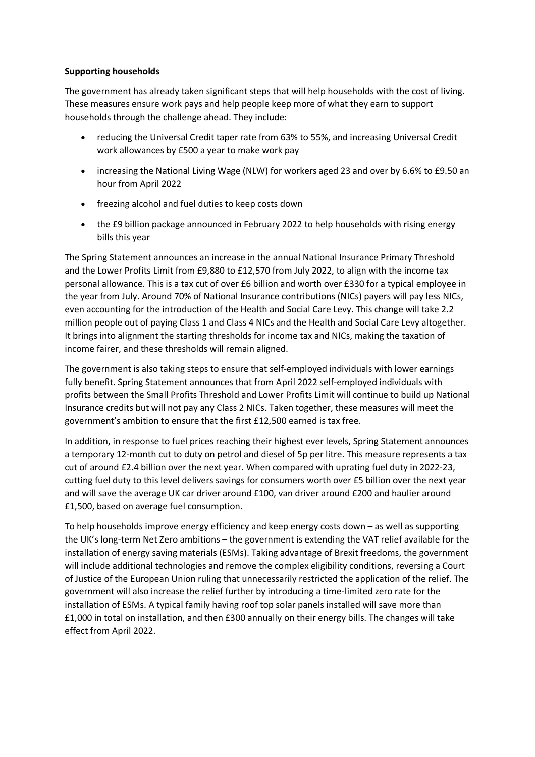## **Supporting households**

The government has already taken significant steps that will help households with the cost of living. These measures ensure work pays and help people keep more of what they earn to support households through the challenge ahead. They include:

- reducing the Universal Credit taper rate from 63% to 55%, and increasing Universal Credit work allowances by £500 a year to make work pay
- increasing the National Living Wage (NLW) for workers aged 23 and over by 6.6% to £9.50 an hour from April 2022
- freezing alcohol and fuel duties to keep costs down
- the £9 billion package announced in February 2022 to help households with rising energy bills this year

The Spring Statement announces an increase in the annual National Insurance Primary Threshold and the Lower Profits Limit from £9,880 to £12,570 from July 2022, to align with the income tax personal allowance. This is a tax cut of over £6 billion and worth over £330 for a typical employee in the year from July. Around 70% of National Insurance contributions (NICs) payers will pay less NICs, even accounting for the introduction of the Health and Social Care Levy. This change will take 2.2 million people out of paying Class 1 and Class 4 NICs and the Health and Social Care Levy altogether. It brings into alignment the starting thresholds for income tax and NICs, making the taxation of income fairer, and these thresholds will remain aligned.

The government is also taking steps to ensure that self-employed individuals with lower earnings fully benefit. Spring Statement announces that from April 2022 self-employed individuals with profits between the Small Profits Threshold and Lower Profits Limit will continue to build up National Insurance credits but will not pay any Class 2 NICs. Taken together, these measures will meet the government's ambition to ensure that the first £12,500 earned is tax free.

In addition, in response to fuel prices reaching their highest ever levels, Spring Statement announces a temporary 12-month cut to duty on petrol and diesel of 5p per litre. This measure represents a tax cut of around £2.4 billion over the next year. When compared with uprating fuel duty in 2022-23, cutting fuel duty to this level delivers savings for consumers worth over £5 billion over the next year and will save the average UK car driver around £100, van driver around £200 and haulier around £1,500, based on average fuel consumption.

To help households improve energy efficiency and keep energy costs down – as well as supporting the UK's long-term Net Zero ambitions – the government is extending the VAT relief available for the installation of energy saving materials (ESMs). Taking advantage of Brexit freedoms, the government will include additional technologies and remove the complex eligibility conditions, reversing a Court of Justice of the European Union ruling that unnecessarily restricted the application of the relief. The government will also increase the relief further by introducing a time-limited zero rate for the installation of ESMs. A typical family having roof top solar panels installed will save more than £1,000 in total on installation, and then £300 annually on their energy bills. The changes will take effect from April 2022.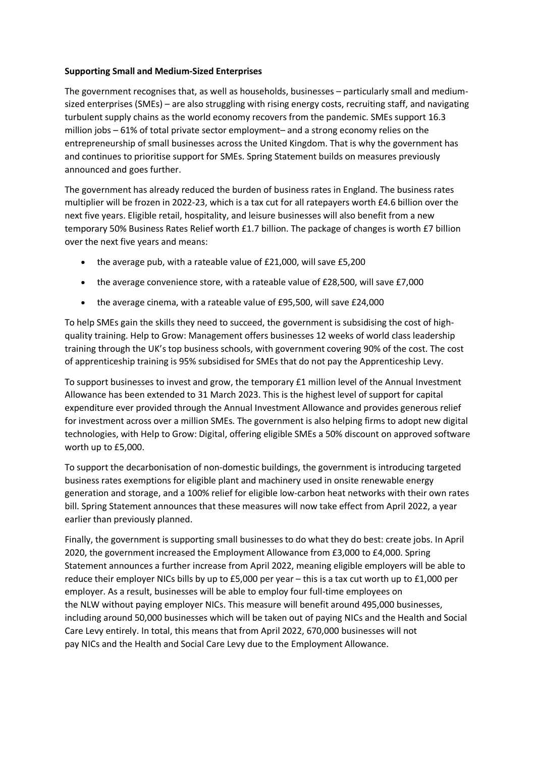### **Supporting Small and Medium-Sized Enterprises**

The government recognises that, as well as households, businesses – particularly small and mediumsized enterprises (SMEs) – are also struggling with rising energy costs, recruiting staff, and navigating turbulent supply chains as the world economy recovers from the pandemic. SMEs support 16.3 million jobs – 61% of total private sector employment– and a strong economy relies on the entrepreneurship of small businesses across the United Kingdom. That is why the government has and continues to prioritise support for SMEs. Spring Statement builds on measures previously announced and goes further.

The government has already reduced the burden of business rates in England. The business rates multiplier will be frozen in 2022-23, which is a tax cut for all ratepayers worth £4.6 billion over the next five years. Eligible retail, hospitality, and leisure businesses will also benefit from a new temporary 50% Business Rates Relief worth £1.7 billion. The package of changes is worth £7 billion over the next five years and means:

- the average pub, with a rateable value of £21,000, will save £5,200
- the average convenience store, with a rateable value of £28,500, will save £7,000
- the average cinema, with a rateable value of £95,500, will save £24,000

To help SMEs gain the skills they need to succeed, the government is subsidising the cost of highquality training. Help to Grow: Management offers businesses 12 weeks of world class leadership training through the UK's top business schools, with government covering 90% of the cost. The cost of apprenticeship training is 95% subsidised for SMEs that do not pay the Apprenticeship Levy.

To support businesses to invest and grow, the temporary £1 million level of the Annual Investment Allowance has been extended to 31 March 2023. This is the highest level of support for capital expenditure ever provided through the Annual Investment Allowance and provides generous relief for investment across over a million SMEs. The government is also helping firms to adopt new digital technologies, with Help to Grow: Digital, offering eligible SMEs a 50% discount on approved software worth up to £5,000.

To support the decarbonisation of non-domestic buildings, the government is introducing targeted business rates exemptions for eligible plant and machinery used in onsite renewable energy generation and storage, and a 100% relief for eligible low-carbon heat networks with their own rates bill. Spring Statement announces that these measures will now take effect from April 2022, a year earlier than previously planned.

Finally, the government is supporting small businesses to do what they do best: create jobs. In April 2020, the government increased the Employment Allowance from £3,000 to £4,000. Spring Statement announces a further increase from April 2022, meaning eligible employers will be able to reduce their employer NICs bills by up to £5,000 per year – this is a tax cut worth up to £1,000 per employer. As a result, businesses will be able to employ four full-time employees on the NLW without paying employer NICs. This measure will benefit around 495,000 businesses, including around 50,000 businesses which will be taken out of paying NICs and the Health and Social Care Levy entirely. In total, this means that from April 2022, 670,000 businesses will not pay NICs and the Health and Social Care Levy due to the Employment Allowance.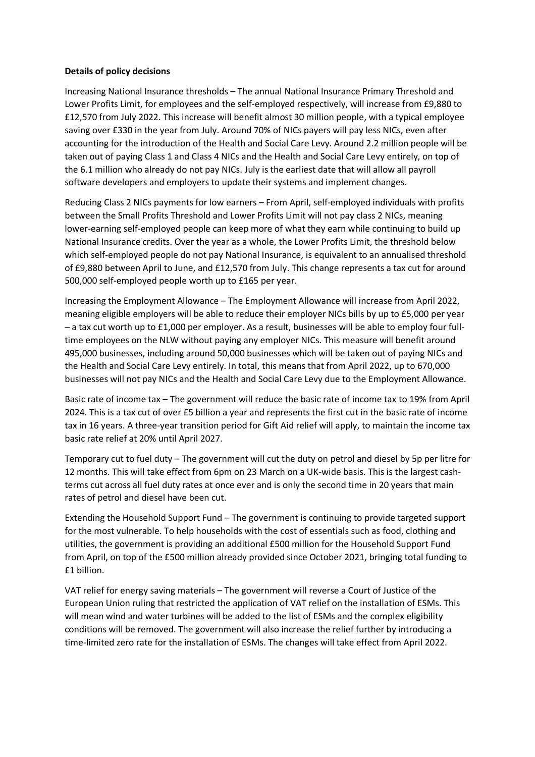#### **Details of policy decisions**

Increasing National Insurance thresholds – The annual National Insurance Primary Threshold and Lower Profits Limit, for employees and the self-employed respectively, will increase from £9,880 to £12,570 from July 2022. This increase will benefit almost 30 million people, with a typical employee saving over £330 in the year from July. Around 70% of NICs payers will pay less NICs, even after accounting for the introduction of the Health and Social Care Levy. Around 2.2 million people will be taken out of paying Class 1 and Class 4 NICs and the Health and Social Care Levy entirely, on top of the 6.1 million who already do not pay NICs. July is the earliest date that will allow all payroll software developers and employers to update their systems and implement changes.

Reducing Class 2 NICs payments for low earners – From April, self-employed individuals with profits between the Small Profits Threshold and Lower Profits Limit will not pay class 2 NICs, meaning lower-earning self-employed people can keep more of what they earn while continuing to build up National Insurance credits. Over the year as a whole, the Lower Profits Limit, the threshold below which self-employed people do not pay National Insurance, is equivalent to an annualised threshold of £9,880 between April to June, and £12,570 from July. This change represents a tax cut for around 500,000 self-employed people worth up to £165 per year.

Increasing the Employment Allowance – The Employment Allowance will increase from April 2022, meaning eligible employers will be able to reduce their employer NICs bills by up to £5,000 per year – a tax cut worth up to £1,000 per employer. As a result, businesses will be able to employ four fulltime employees on the NLW without paying any employer NICs. This measure will benefit around 495,000 businesses, including around 50,000 businesses which will be taken out of paying NICs and the Health and Social Care Levy entirely. In total, this means that from April 2022, up to 670,000 businesses will not pay NICs and the Health and Social Care Levy due to the Employment Allowance.

Basic rate of income tax – The government will reduce the basic rate of income tax to 19% from April 2024. This is a tax cut of over £5 billion a year and represents the first cut in the basic rate of income tax in 16 years. A three-year transition period for Gift Aid relief will apply, to maintain the income tax basic rate relief at 20% until April 2027.

Temporary cut to fuel duty – The government will cut the duty on petrol and diesel by 5p per litre for 12 months. This will take effect from 6pm on 23 March on a UK-wide basis. This is the largest cashterms cut across all fuel duty rates at once ever and is only the second time in 20 years that main rates of petrol and diesel have been cut.

Extending the Household Support Fund – The government is continuing to provide targeted support for the most vulnerable. To help households with the cost of essentials such as food, clothing and utilities, the government is providing an additional £500 million for the Household Support Fund from April, on top of the £500 million already provided since October 2021, bringing total funding to £1 billion.

VAT relief for energy saving materials – The government will reverse a Court of Justice of the European Union ruling that restricted the application of VAT relief on the installation of ESMs. This will mean wind and water turbines will be added to the list of ESMs and the complex eligibility conditions will be removed. The government will also increase the relief further by introducing a time-limited zero rate for the installation of ESMs. The changes will take effect from April 2022.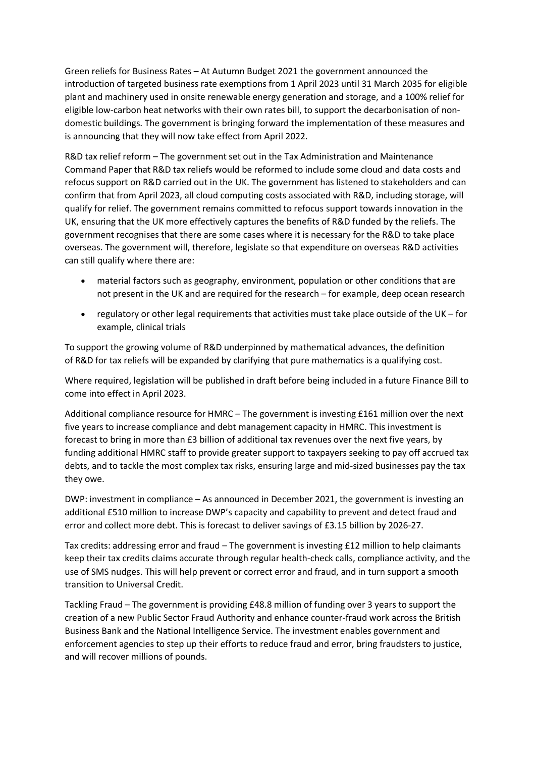Green reliefs for Business Rates – At Autumn Budget 2021 the government announced the introduction of targeted business rate exemptions from 1 April 2023 until 31 March 2035 for eligible plant and machinery used in onsite renewable energy generation and storage, and a 100% relief for eligible low-carbon heat networks with their own rates bill, to support the decarbonisation of nondomestic buildings. The government is bringing forward the implementation of these measures and is announcing that they will now take effect from April 2022.

R&D tax relief reform – The government set out in the Tax Administration and Maintenance Command Paper that R&D tax reliefs would be reformed to include some cloud and data costs and refocus support on R&D carried out in the UK. The government has listened to stakeholders and can confirm that from April 2023, all cloud computing costs associated with R&D, including storage, will qualify for relief. The government remains committed to refocus support towards innovation in the UK, ensuring that the UK more effectively captures the benefits of R&D funded by the reliefs. The government recognises that there are some cases where it is necessary for the R&D to take place overseas. The government will, therefore, legislate so that expenditure on overseas R&D activities can still qualify where there are:

- material factors such as geography, environment, population or other conditions that are not present in the UK and are required for the research – for example, deep ocean research
- regulatory or other legal requirements that activities must take place outside of the UK for example, clinical trials

To support the growing volume of R&D underpinned by mathematical advances, the definition of R&D for tax reliefs will be expanded by clarifying that pure mathematics is a qualifying cost.

Where required, legislation will be published in draft before being included in a future Finance Bill to come into effect in April 2023.

Additional compliance resource for HMRC – The government is investing £161 million over the next five years to increase compliance and debt management capacity in HMRC. This investment is forecast to bring in more than £3 billion of additional tax revenues over the next five years, by funding additional HMRC staff to provide greater support to taxpayers seeking to pay off accrued tax debts, and to tackle the most complex tax risks, ensuring large and mid-sized businesses pay the tax they owe.

DWP: investment in compliance – As announced in December 2021, the government is investing an additional £510 million to increase DWP's capacity and capability to prevent and detect fraud and error and collect more debt. This is forecast to deliver savings of £3.15 billion by 2026-27.

Tax credits: addressing error and fraud – The government is investing £12 million to help claimants keep their tax credits claims accurate through regular health-check calls, compliance activity, and the use of SMS nudges. This will help prevent or correct error and fraud, and in turn support a smooth transition to Universal Credit.

Tackling Fraud – The government is providing £48.8 million of funding over 3 years to support the creation of a new Public Sector Fraud Authority and enhance counter-fraud work across the British Business Bank and the National Intelligence Service. The investment enables government and enforcement agencies to step up their efforts to reduce fraud and error, bring fraudsters to justice, and will recover millions of pounds.